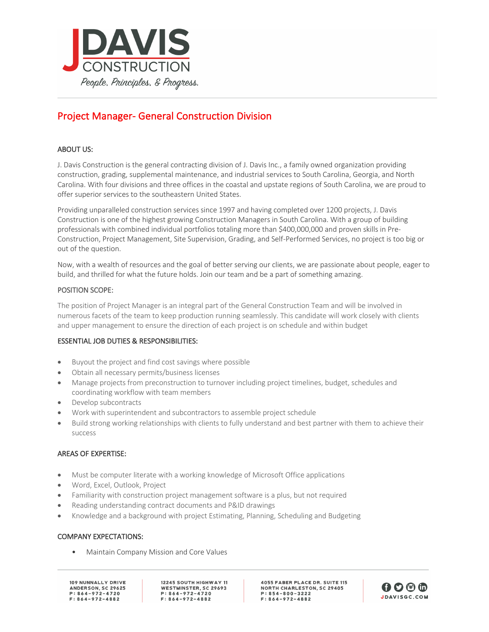

# Project Manager- General Construction Division

# ABOUT US:

J. Davis Construction is the general contracting division of J. Davis Inc., a family owned organization providing construction, grading, supplemental maintenance, and industrial services to South Carolina, Georgia, and North Carolina. With four divisions and three offices in the coastal and upstate regions of South Carolina, we are proud to offer superior services to the southeastern United States.

Providing unparalleled construction services since 1997 and having completed over 1200 projects, J. Davis Construction is one of the highest growing Construction Managers in South Carolina. With a group of building professionals with combined individual portfolios totaling more than \$400,000,000 and proven skills in Pre-Construction, Project Management, Site Supervision, Grading, and Self-Performed Services, no project is too big or out of the question.

Now, with a wealth of resources and the goal of better serving our clients, we are passionate about people, eager to build, and thrilled for what the future holds. Join our team and be a part of something amazing.

## POSITION SCOPE:

The position of Project Manager is an integral part of the General Construction Team and will be involved in numerous facets of the team to keep production running seamlessly. This candidate will work closely with clients and upper management to ensure the direction of each project is on schedule and within budget

## ESSENTIAL JOB DUTIES & RESPONSIBILITIES:

- Buyout the project and find cost savings where possible
- Obtain all necessary permits/business licenses
- Manage projects from preconstruction to turnover including project timelines, budget, schedules and coordinating workflow with team members
- Develop subcontracts
- Work with superintendent and subcontractors to assemble project schedule
- Build strong working relationships with clients to fully understand and best partner with them to achieve their success

## AREAS OF EXPERTISE:

- Must be computer literate with a working knowledge of Microsoft Office applications
- Word, Excel, Outlook, Project
- Familiarity with construction project management software is a plus, but not required
- Reading understanding contract documents and P&ID drawings
- Knowledge and a background with project Estimating, Planning, Scheduling and Budgeting

## COMPANY EXPECTATIONS:

• Maintain Company Mission and Core Values

109 NUNNALLY DRIVE ANDERSON, SC 29625  $P: 864 - 972 - 4720$  $F: 864 - 972 - 4882$ 

12245 SOUTH HIGHWAY 11 WESTMINSTER, SC 29693  $P: 864 - 972 - 4720$  $F: 864 - 972 - 4882$ 

**4055 FABER PLACE DR. SUITE 115 NORTH CHARLESTON, SC 29405**  $P: 854 - 800 - 3222$  $F: 864 - 972 - 4882$